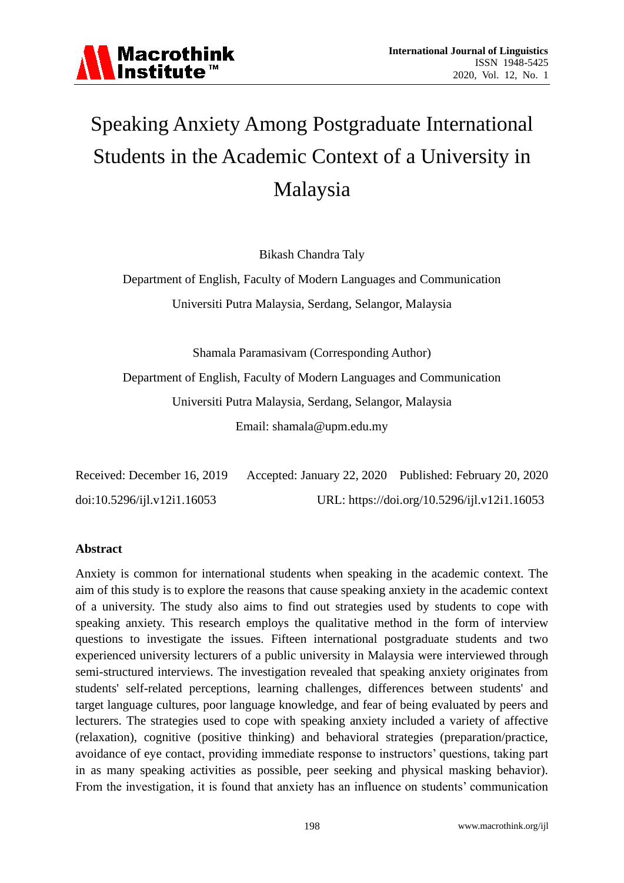

# Speaking Anxiety Among Postgraduate International Students in the Academic Context of a University in Malaysia

Bikash Chandra Taly

Department of English, Faculty of Modern Languages and Communication Universiti Putra Malaysia, Serdang, Selangor, Malaysia

Shamala Paramasivam (Corresponding Author)

Department of English, Faculty of Modern Languages and Communication Universiti Putra Malaysia, Serdang, Selangor, Malaysia

Email: [shamala@upm.edu.my](mailto:shamala@upm.edu.my)

| Received: December 16, 2019 | Accepted: January 22, 2020 Published: February 20, 2020 |
|-----------------------------|---------------------------------------------------------|
| doi:10.5296/ijl.v12i1.16053 | URL: https://doi.org/10.5296/ijl.v12i1.16053            |

#### **Abstract**

Anxiety is common for international students when speaking in the academic context. The aim of this study is to explore the reasons that cause speaking anxiety in the academic context of a university. The study also aims to find out strategies used by students to cope with speaking anxiety. This research employs the qualitative method in the form of interview questions to investigate the issues. Fifteen international postgraduate students and two experienced university lecturers of a public university in Malaysia were interviewed through semi-structured interviews. The investigation revealed that speaking anxiety originates from students' self-related perceptions, learning challenges, differences between students' and target language cultures, poor language knowledge, and fear of being evaluated by peers and lecturers. The strategies used to cope with speaking anxiety included a variety of affective (relaxation), cognitive (positive thinking) and behavioral strategies (preparation/practice, avoidance of eye contact, providing immediate response to instructors' questions, taking part in as many speaking activities as possible, peer seeking and physical masking behavior). From the investigation, it is found that anxiety has an influence on students' communication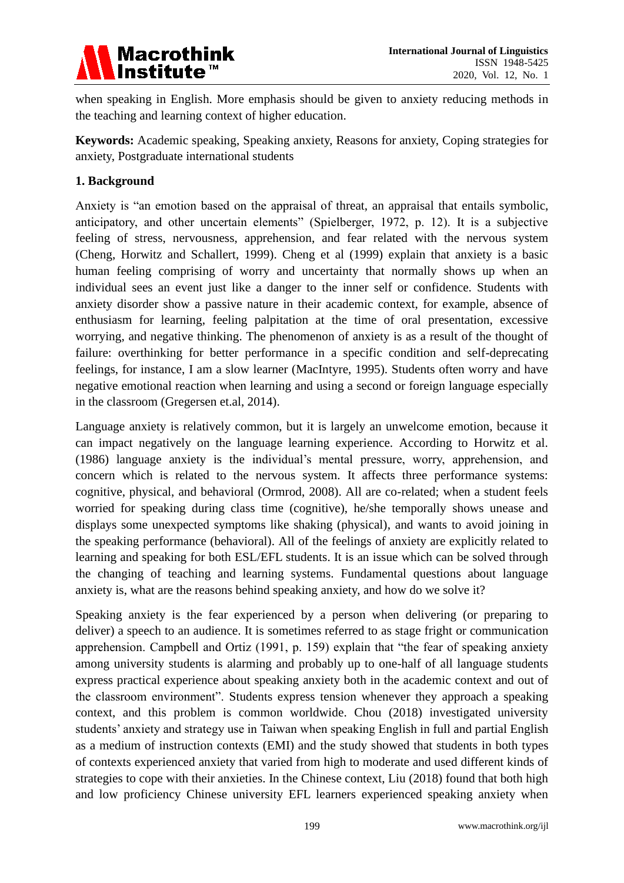

when speaking in English. More emphasis should be given to anxiety reducing methods in the teaching and learning context of higher education.

**Keywords:** Academic speaking, Speaking anxiety, Reasons for anxiety, Coping strategies for anxiety, Postgraduate international students

# **1. Background**

Anxiety is "an emotion based on the appraisal of threat, an appraisal that entails symbolic, anticipatory, and other uncertain elements" (Spielberger, 1972, p. 12). It is a subjective feeling of stress, nervousness, apprehension, and fear related with the nervous system (Cheng, Horwitz and Schallert, 1999). Cheng et al (1999) explain that anxiety is a basic human feeling comprising of worry and uncertainty that normally shows up when an individual sees an event just like a danger to the inner self or confidence. Students with anxiety disorder show a passive nature in their academic context, for example, absence of enthusiasm for learning, feeling palpitation at the time of oral presentation, excessive worrying, and negative thinking. The phenomenon of anxiety is as a result of the thought of failure: overthinking for better performance in a specific condition and self-deprecating feelings, for instance, I am a slow learner (MacIntyre, 1995). Students often worry and have negative emotional reaction when learning and using a second or foreign language especially in the classroom (Gregersen et.al, 2014).

Language anxiety is relatively common, but it is largely an unwelcome emotion, because it can impact negatively on the language learning experience. According to Horwitz et al. (1986) language anxiety is the individual's mental pressure, worry, apprehension, and concern which is related to the nervous system. It affects three performance systems: cognitive, physical, and behavioral (Ormrod, 2008). All are co-related; when a student feels worried for speaking during class time (cognitive), he/she temporally shows unease and displays some unexpected symptoms like shaking (physical), and wants to avoid joining in the speaking performance (behavioral). All of the feelings of anxiety are explicitly related to learning and speaking for both ESL/EFL students. It is an issue which can be solved through the changing of teaching and learning systems. Fundamental questions about language anxiety is, what are the reasons behind speaking anxiety, and how do we solve it?

Speaking anxiety is the fear experienced by a person when delivering (or preparing to deliver) a speech to an audience. It is sometimes referred to as stage fright or communication apprehension. Campbell and Ortiz (1991, p. 159) explain that "the fear of speaking anxiety among university students is alarming and probably up to one-half of all language students express practical experience about speaking anxiety both in the academic context and out of the classroom environment". Students express tension whenever they approach a speaking context, and this problem is common worldwide. Chou (2018) investigated university students' anxiety and strategy use in Taiwan when speaking English in full and partial English as a medium of instruction contexts (EMI) and the study showed that students in both types of contexts experienced anxiety that varied from high to moderate and used different kinds of strategies to cope with their anxieties. In the Chinese context, Liu (2018) found that both high and low proficiency Chinese university EFL learners experienced speaking anxiety when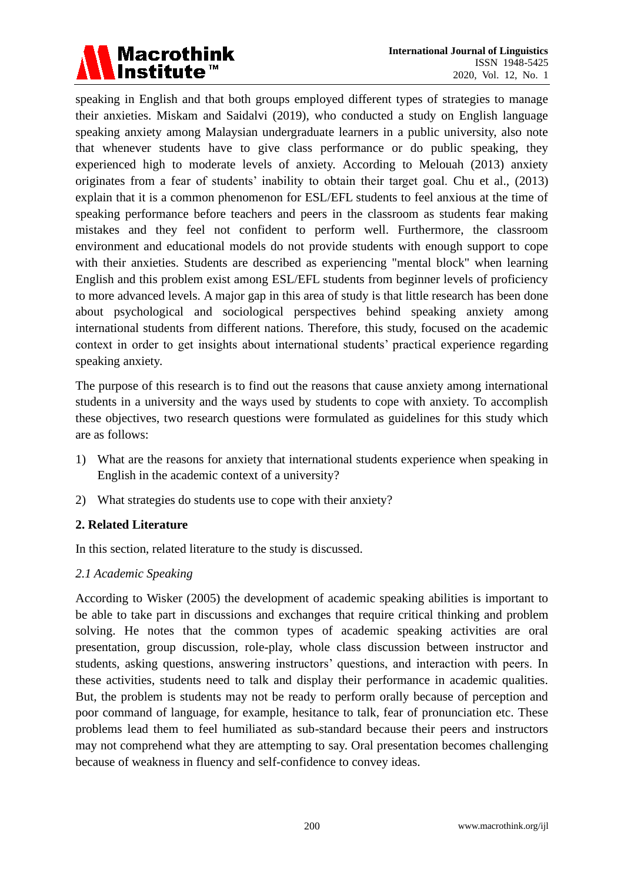

speaking in English and that both groups employed different types of strategies to manage their anxieties. Miskam and Saidalvi (2019), who conducted a study on English language speaking anxiety among Malaysian undergraduate learners in a public university, also note that whenever students have to give class performance or do public speaking, they experienced high to moderate levels of anxiety. According to Melouah (2013) anxiety originates from a fear of students' inability to obtain their target goal. Chu et al., (2013) explain that it is a common phenomenon for ESL/EFL students to feel anxious at the time of speaking performance before teachers and peers in the classroom as students fear making mistakes and they feel not confident to perform well. Furthermore, the classroom environment and educational models do not provide students with enough support to cope with their anxieties. Students are described as experiencing "mental block" when learning English and this problem exist among ESL/EFL students from beginner levels of proficiency to more advanced levels. A major gap in this area of study is that little research has been done about psychological and sociological perspectives behind speaking anxiety among international students from different nations. Therefore, this study, focused on the academic context in order to get insights about international students' practical experience regarding speaking anxiety.

The purpose of this research is to find out the reasons that cause anxiety among international students in a university and the ways used by students to cope with anxiety. To accomplish these objectives, two research questions were formulated as guidelines for this study which are as follows:

- 1) What are the reasons for anxiety that international students experience when speaking in English in the academic context of a university?
- 2) What strategies do students use to cope with their anxiety?

# **2. Related Literature**

In this section, related literature to the study is discussed.

# *2.1 Academic Speaking*

According to Wisker (2005) the development of academic speaking abilities is important to be able to take part in discussions and exchanges that require critical thinking and problem solving. He notes that the common types of academic speaking activities are oral presentation, group discussion, role-play, whole class discussion between instructor and students, asking questions, answering instructors' questions, and interaction with peers. In these activities, students need to talk and display their performance in academic qualities. But, the problem is students may not be ready to perform orally because of perception and poor command of language, for example, hesitance to talk, fear of pronunciation etc. These problems lead them to feel humiliated as sub-standard because their peers and instructors may not comprehend what they are attempting to say. Oral presentation becomes challenging because of weakness in fluency and self-confidence to convey ideas.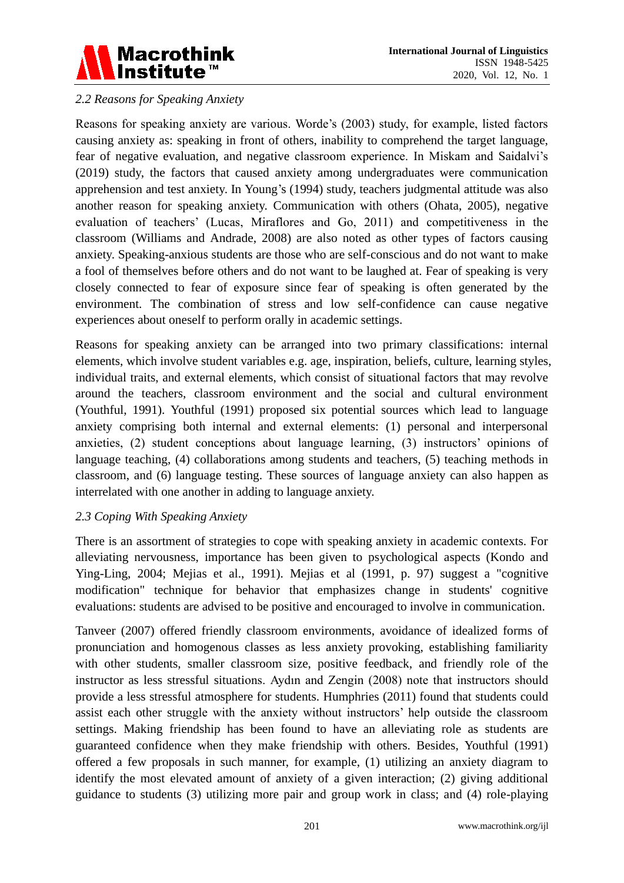

# *2.2 Reasons for Speaking Anxiety*

Reasons for speaking anxiety are various. Worde's (2003) study, for example, listed factors causing anxiety as: speaking in front of others, inability to comprehend the target language, fear of negative evaluation, and negative classroom experience. In Miskam and Saidalvi's (2019) study, the factors that caused anxiety among undergraduates were communication apprehension and test anxiety. In Young's (1994) study, teachers judgmental attitude was also another reason for speaking anxiety. Communication with others (Ohata, 2005), negative evaluation of teachers' (Lucas, Miraflores and Go, 2011) and competitiveness in the classroom (Williams and Andrade, 2008) are also noted as other types of factors causing anxiety. Speaking-anxious students are those who are self-conscious and do not want to make a fool of themselves before others and do not want to be laughed at. Fear of speaking is very closely connected to fear of exposure since fear of speaking is often generated by the environment. The combination of stress and low self-confidence can cause negative experiences about oneself to perform orally in academic settings.

Reasons for speaking anxiety can be arranged into two primary classifications: internal elements, which involve student variables e.g. age, inspiration, beliefs, culture, learning styles, individual traits, and external elements, which consist of situational factors that may revolve around the teachers, classroom environment and the social and cultural environment (Youthful, 1991). Youthful (1991) proposed six potential sources which lead to language anxiety comprising both internal and external elements: (1) personal and interpersonal anxieties, (2) student conceptions about language learning, (3) instructors' opinions of language teaching, (4) collaborations among students and teachers, (5) teaching methods in classroom, and (6) language testing. These sources of language anxiety can also happen as interrelated with one another in adding to language anxiety.

# *2.3 Coping With Speaking Anxiety*

There is an assortment of strategies to cope with speaking anxiety in academic contexts. For alleviating nervousness, importance has been given to psychological aspects (Kondo and Ying-Ling, 2004; Mejias et al., 1991). Mejias et al (1991, p. 97) suggest a "cognitive modification" technique for behavior that emphasizes change in students' cognitive evaluations: students are advised to be positive and encouraged to involve in communication.

Tanveer (2007) offered friendly classroom environments, avoidance of idealized forms of pronunciation and homogenous classes as less anxiety provoking, establishing familiarity with other students, smaller classroom size, positive feedback, and friendly role of the instructor as less stressful situations. Aydın and Zengin (2008) note that instructors should provide a less stressful atmosphere for students. Humphries (2011) found that students could assist each other struggle with the anxiety without instructors' help outside the classroom settings. Making friendship has been found to have an alleviating role as students are guaranteed confidence when they make friendship with others. Besides, Youthful (1991) offered a few proposals in such manner, for example, (1) utilizing an anxiety diagram to identify the most elevated amount of anxiety of a given interaction; (2) giving additional guidance to students (3) utilizing more pair and group work in class; and (4) role-playing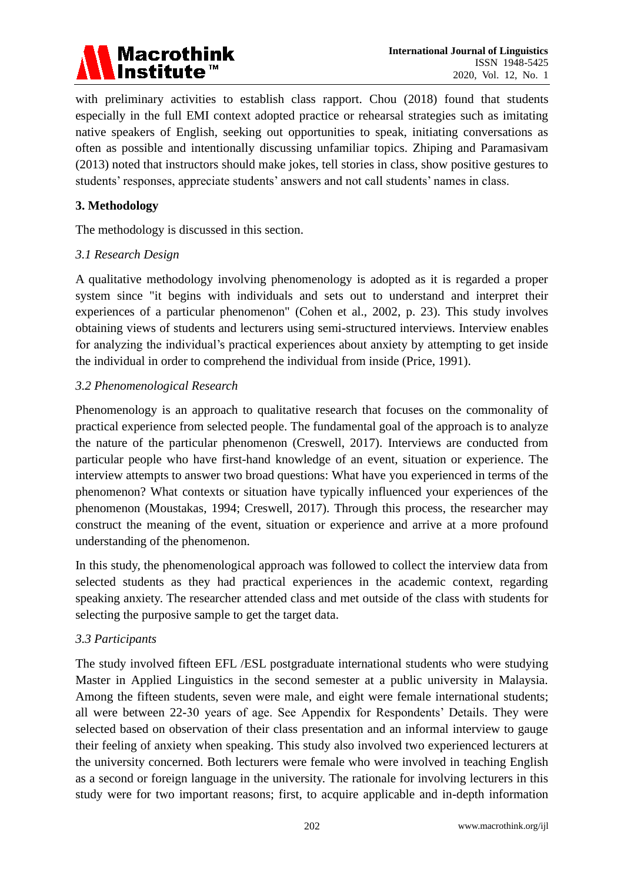# Macrothink<br>Institute™

with preliminary activities to establish class rapport. Chou (2018) found that students especially in the full EMI context adopted practice or rehearsal strategies such as imitating native speakers of English, seeking out opportunities to speak, initiating conversations as often as possible and intentionally discussing unfamiliar topics. Zhiping and Paramasivam (2013) noted that instructors should make jokes, tell stories in class, show positive gestures to students' responses, appreciate students' answers and not call students' names in class.

# **3. Methodology**

The methodology is discussed in this section.

# *3.1 Research Design*

A qualitative methodology involving phenomenology is adopted as it is regarded a proper system since "it begins with individuals and sets out to understand and interpret their experiences of a particular phenomenon" (Cohen et al., 2002, p. 23). This study involves obtaining views of students and lecturers using semi-structured interviews. Interview enables for analyzing the individual's practical experiences about anxiety by attempting to get inside the individual in order to comprehend the individual from inside (Price, 1991).

# *3.2 Phenomenological Research*

Phenomenology is an approach to qualitative research that focuses on the commonality of practical experience from selected people. The fundamental goal of the approach is to analyze the nature of the particular phenomenon (Creswell, 2017). Interviews are conducted from particular people who have first-hand knowledge of an event, situation or experience. The interview attempts to answer two broad questions: What have you experienced in terms of the phenomenon? What contexts or situation have typically influenced your experiences of the phenomenon (Moustakas, 1994; Creswell, 2017). Through this process, the researcher may construct the meaning of the event, situation or experience and arrive at a more profound understanding of the phenomenon.

In this study, the phenomenological approach was followed to collect the interview data from selected students as they had practical experiences in the academic context, regarding speaking anxiety. The researcher attended class and met outside of the class with students for selecting the purposive sample to get the target data.

# *3.3 Participants*

The study involved fifteen EFL /ESL postgraduate international students who were studying Master in Applied Linguistics in the second semester at a public university in Malaysia. Among the fifteen students, seven were male, and eight were female international students; all were between 22-30 years of age. See Appendix for Respondents' Details. They were selected based on observation of their class presentation and an informal interview to gauge their feeling of anxiety when speaking. This study also involved two experienced lecturers at the university concerned. Both lecturers were female who were involved in teaching English as a second or foreign language in the university. The rationale for involving lecturers in this study were for two important reasons; first, to acquire applicable and in-depth information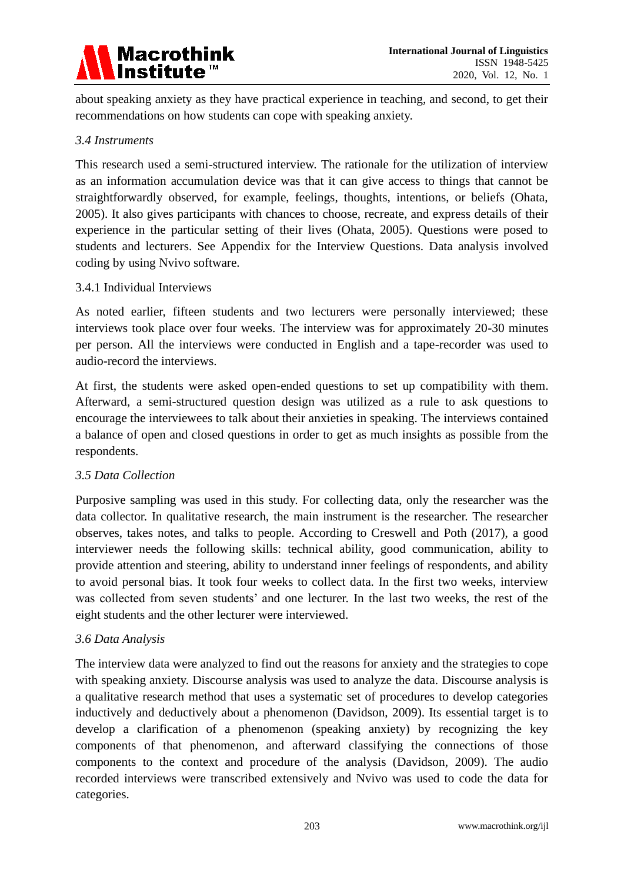

about speaking anxiety as they have practical experience in teaching, and second, to get their recommendations on how students can cope with speaking anxiety.

#### *3.4 Instruments*

This research used a semi-structured interview. The rationale for the utilization of interview as an information accumulation device was that it can give access to things that cannot be straightforwardly observed, for example, feelings, thoughts, intentions, or beliefs (Ohata, 2005). It also gives participants with chances to choose, recreate, and express details of their experience in the particular setting of their lives (Ohata, 2005). Questions were posed to students and lecturers. See Appendix for the Interview Questions. Data analysis involved coding by using Nvivo software.

#### 3.4.1 Individual Interviews

As noted earlier, fifteen students and two lecturers were personally interviewed; these interviews took place over four weeks. The interview was for approximately 20-30 minutes per person. All the interviews were conducted in English and a tape-recorder was used to audio-record the interviews.

At first, the students were asked open-ended questions to set up compatibility with them. Afterward, a semi-structured question design was utilized as a rule to ask questions to encourage the interviewees to talk about their anxieties in speaking. The interviews contained a balance of open and closed questions in order to get as much insights as possible from the respondents.

#### *3.5 Data Collection*

Purposive sampling was used in this study. For collecting data, only the researcher was the data collector. In qualitative research, the main instrument is the researcher. The researcher observes, takes notes, and talks to people. According to Creswell and Poth (2017), a good interviewer needs the following skills: technical ability, good communication, ability to provide attention and steering, ability to understand inner feelings of respondents, and ability to avoid personal bias. It took four weeks to collect data. In the first two weeks, interview was collected from seven students' and one lecturer. In the last two weeks, the rest of the eight students and the other lecturer were interviewed.

#### *3.6 Data Analysis*

The interview data were analyzed to find out the reasons for anxiety and the strategies to cope with speaking anxiety. Discourse analysis was used to analyze the data. Discourse analysis is a qualitative research method that uses a systematic set of procedures to develop categories inductively and deductively about a phenomenon (Davidson, 2009). Its essential target is to develop a clarification of a phenomenon (speaking anxiety) by recognizing the key components of that phenomenon, and afterward classifying the connections of those components to the context and procedure of the analysis (Davidson, 2009). The audio recorded interviews were transcribed extensively and Nvivo was used to code the data for categories.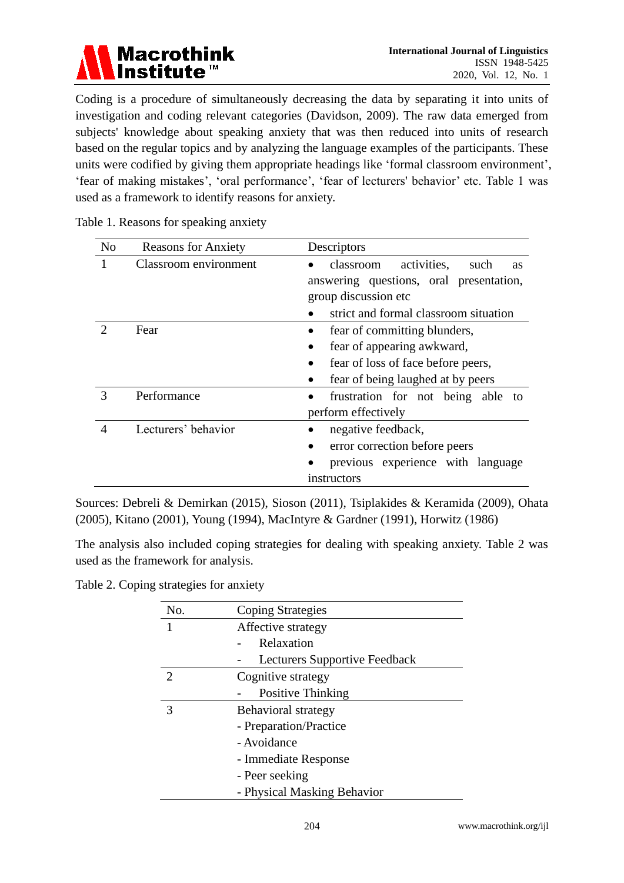

Coding is a procedure of simultaneously decreasing the data by separating it into units of investigation and coding relevant categories (Davidson, 2009). The raw data emerged from subjects' knowledge about speaking anxiety that was then reduced into units of research based on the regular topics and by analyzing the language examples of the participants. These units were codified by giving them appropriate headings like 'formal classroom environment', 'fear of making mistakes', 'oral performance', 'fear of lecturers' behavior' etc. Table 1 was used as a framework to identify reasons for anxiety.

| N <sub>o</sub> | <b>Reasons for Anxiety</b> | Descriptors                                   |
|----------------|----------------------------|-----------------------------------------------|
|                | Classroom environment      | activities,<br>classroom<br>such<br><b>as</b> |
|                |                            | answering questions, oral presentation,       |
|                |                            | group discussion etc                          |
|                |                            | strict and formal classroom situation         |
|                | Fear                       | fear of committing blunders,                  |
|                |                            | fear of appearing awkward,                    |
|                |                            | fear of loss of face before peers,            |
|                |                            | fear of being laughed at by peers             |
| 3              | Performance                | frustration for not being able to             |
|                |                            | perform effectively                           |
| 4              | Lecturers' behavior        | negative feedback,                            |
|                |                            | error correction before peers                 |
|                |                            | previous experience with language             |
|                |                            | instructors                                   |

Table 1. Reasons for speaking anxiety

Sources: Debreli & Demirkan (2015), Sioson (2011), Tsiplakides & Keramida (2009), Ohata (2005), Kitano (2001), Young (1994), MacIntyre & Gardner (1991), Horwitz (1986)

The analysis also included coping strategies for dealing with speaking anxiety. Table 2 was used as the framework for analysis.

Table 2. Coping strategies for anxiety

| No. | <b>Coping Strategies</b>      |
|-----|-------------------------------|
|     | Affective strategy            |
|     | Relaxation                    |
|     | Lecturers Supportive Feedback |
| 2   | Cognitive strategy            |
|     | Positive Thinking             |
| 3   | Behavioral strategy           |
|     | - Preparation/Practice        |
|     | - Avoidance                   |
|     | - Immediate Response          |
|     | - Peer seeking                |
|     | - Physical Masking Behavior   |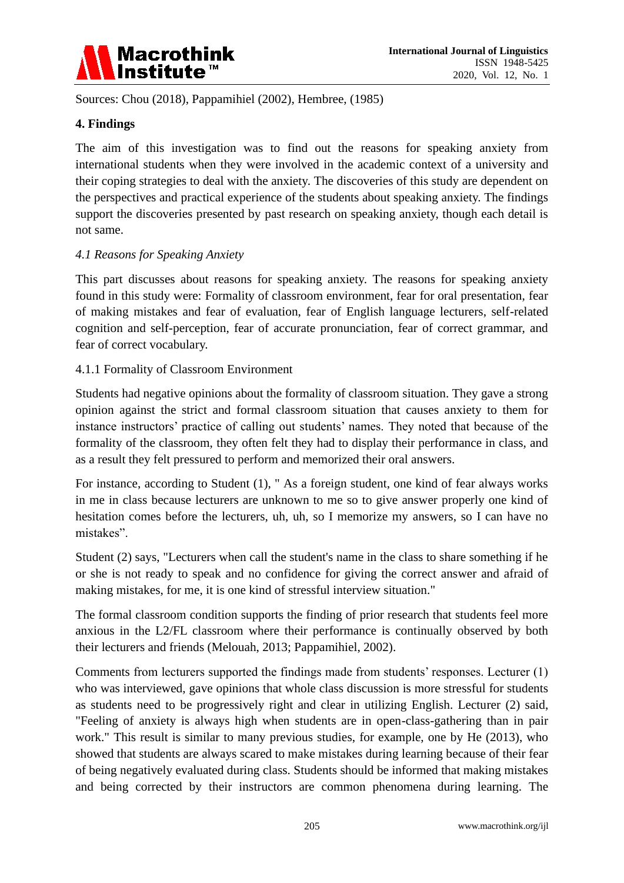

Sources: Chou (2018), Pappamihiel (2002), Hembree, (1985)

## **4. Findings**

The aim of this investigation was to find out the reasons for speaking anxiety from international students when they were involved in the academic context of a university and their coping strategies to deal with the anxiety. The discoveries of this study are dependent on the perspectives and practical experience of the students about speaking anxiety. The findings support the discoveries presented by past research on speaking anxiety, though each detail is not same.

#### *4.1 Reasons for Speaking Anxiety*

This part discusses about reasons for speaking anxiety. The reasons for speaking anxiety found in this study were: Formality of classroom environment, fear for oral presentation, fear of making mistakes and fear of evaluation, fear of English language lecturers, self-related cognition and self-perception, fear of accurate pronunciation, fear of correct grammar, and fear of correct vocabulary.

#### 4.1.1 Formality of Classroom Environment

Students had negative opinions about the formality of classroom situation. They gave a strong opinion against the strict and formal classroom situation that causes anxiety to them for instance instructors' practice of calling out students' names. They noted that because of the formality of the classroom, they often felt they had to display their performance in class, and as a result they felt pressured to perform and memorized their oral answers.

For instance, according to Student (1), " As a foreign student, one kind of fear always works in me in class because lecturers are unknown to me so to give answer properly one kind of hesitation comes before the lecturers, uh, uh, so I memorize my answers, so I can have no mistakes".

Student (2) says, "Lecturers when call the student's name in the class to share something if he or she is not ready to speak and no confidence for giving the correct answer and afraid of making mistakes, for me, it is one kind of stressful interview situation."

The formal classroom condition supports the finding of prior research that students feel more anxious in the L2/FL classroom where their performance is continually observed by both their lecturers and friends (Melouah, 2013; Pappamihiel, 2002).

Comments from lecturers supported the findings made from students' responses. Lecturer (1) who was interviewed, gave opinions that whole class discussion is more stressful for students as students need to be progressively right and clear in utilizing English. Lecturer (2) said, "Feeling of anxiety is always high when students are in open-class-gathering than in pair work." This result is similar to many previous studies, for example, one by He (2013), who showed that students are always scared to make mistakes during learning because of their fear of being negatively evaluated during class. Students should be informed that making mistakes and being corrected by their instructors are common phenomena during learning. The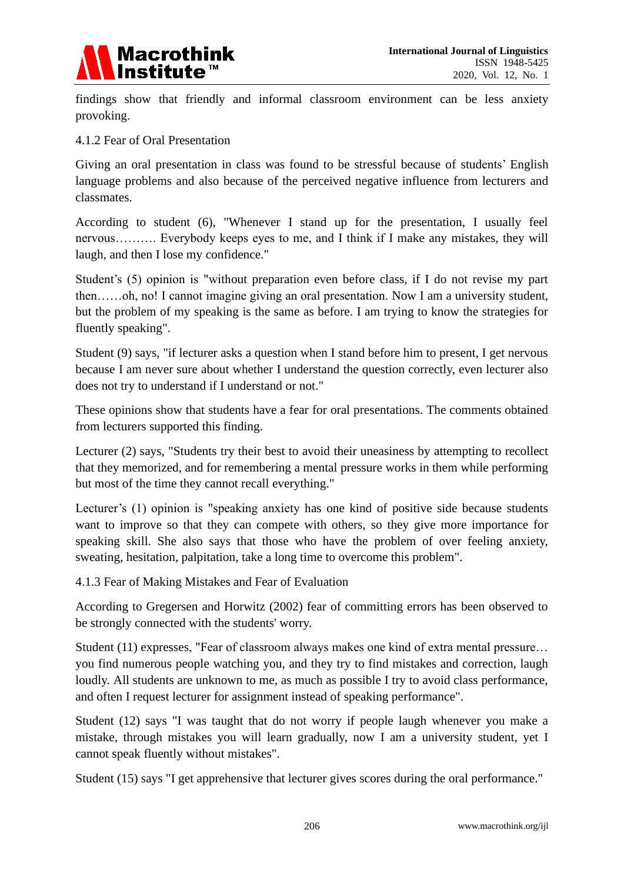

findings show that friendly and informal classroom environment can be less anxiety provoking.

4.1.2 Fear of Oral Presentation

Giving an oral presentation in class was found to be stressful because of students' English language problems and also because of the perceived negative influence from lecturers and classmates.

According to student (6), "Whenever I stand up for the presentation, I usually feel nervous………. Everybody keeps eyes to me, and I think if I make any mistakes, they will laugh, and then I lose my confidence."

Student's (5) opinion is "without preparation even before class, if I do not revise my part then……oh, no! I cannot imagine giving an oral presentation. Now I am a university student, but the problem of my speaking is the same as before. I am trying to know the strategies for fluently speaking".

Student (9) says, "if lecturer asks a question when I stand before him to present, I get nervous because I am never sure about whether I understand the question correctly, even lecturer also does not try to understand if I understand or not."

These opinions show that students have a fear for oral presentations. The comments obtained from lecturers supported this finding.

Lecturer (2) says, "Students try their best to avoid their uneasiness by attempting to recollect that they memorized, and for remembering a mental pressure works in them while performing but most of the time they cannot recall everything."

Lecturer's (1) opinion is "speaking anxiety has one kind of positive side because students want to improve so that they can compete with others, so they give more importance for speaking skill. She also says that those who have the problem of over feeling anxiety, sweating, hesitation, palpitation, take a long time to overcome this problem".

4.1.3 Fear of Making Mistakes and Fear of Evaluation

According to Gregersen and Horwitz (2002) fear of committing errors has been observed to be strongly connected with the students' worry.

Student (11) expresses, "Fear of classroom always makes one kind of extra mental pressure… you find numerous people watching you, and they try to find mistakes and correction, laugh loudly. All students are unknown to me, as much as possible I try to avoid class performance, and often I request lecturer for assignment instead of speaking performance".

Student (12) says "I was taught that do not worry if people laugh whenever you make a mistake, through mistakes you will learn gradually, now I am a university student, yet I cannot speak fluently without mistakes".

Student (15) says "I get apprehensive that lecturer gives scores during the oral performance."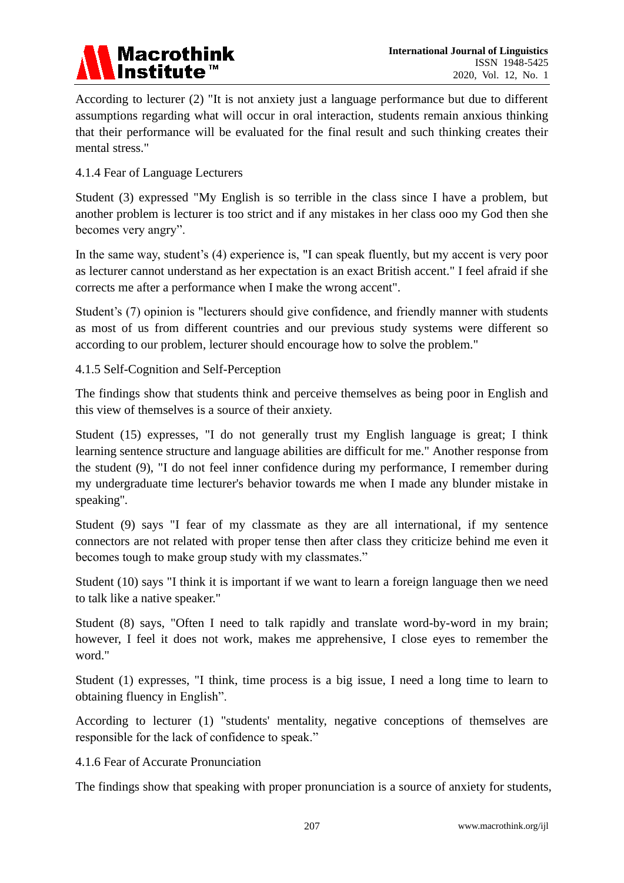

According to lecturer (2) "It is not anxiety just a language performance but due to different assumptions regarding what will occur in oral interaction, students remain anxious thinking that their performance will be evaluated for the final result and such thinking creates their mental stress."

## 4.1.4 Fear of Language Lecturers

Student (3) expressed "My English is so terrible in the class since I have a problem, but another problem is lecturer is too strict and if any mistakes in her class ooo my God then she becomes very angry".

In the same way, student's (4) experience is, "I can speak fluently, but my accent is very poor as lecturer cannot understand as her expectation is an exact British accent." I feel afraid if she corrects me after a performance when I make the wrong accent".

Student's (7) opinion is "lecturers should give confidence, and friendly manner with students as most of us from different countries and our previous study systems were different so according to our problem, lecturer should encourage how to solve the problem."

4.1.5 Self-Cognition and Self-Perception

The findings show that students think and perceive themselves as being poor in English and this view of themselves is a source of their anxiety.

Student (15) expresses, "I do not generally trust my English language is great; I think learning sentence structure and language abilities are difficult for me." Another response from the student (9), "I do not feel inner confidence during my performance, I remember during my undergraduate time lecturer's behavior towards me when I made any blunder mistake in speaking''.

Student (9) says "I fear of my classmate as they are all international, if my sentence connectors are not related with proper tense then after class they criticize behind me even it becomes tough to make group study with my classmates."

Student (10) says "I think it is important if we want to learn a foreign language then we need to talk like a native speaker."

Student (8) says, "Often I need to talk rapidly and translate word-by-word in my brain; however, I feel it does not work, makes me apprehensive, I close eyes to remember the word."

Student (1) expresses, "I think, time process is a big issue, I need a long time to learn to obtaining fluency in English".

According to lecturer (1) "students' mentality, negative conceptions of themselves are responsible for the lack of confidence to speak."

4.1.6 Fear of Accurate Pronunciation

The findings show that speaking with proper pronunciation is a source of anxiety for students,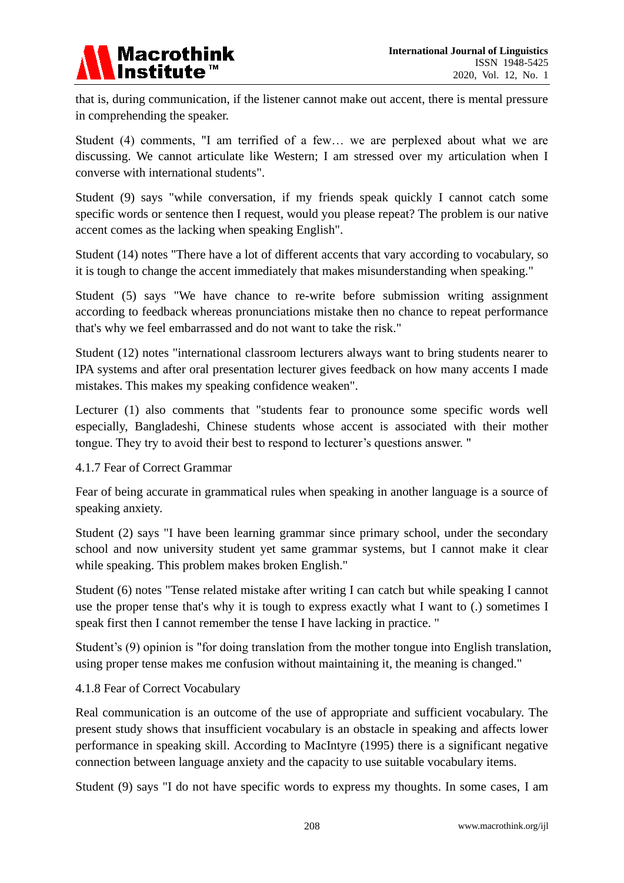

that is, during communication, if the listener cannot make out accent, there is mental pressure in comprehending the speaker.

Student (4) comments, "I am terrified of a few… we are perplexed about what we are discussing. We cannot articulate like Western; I am stressed over my articulation when I converse with international students".

Student (9) says "while conversation, if my friends speak quickly I cannot catch some specific words or sentence then I request, would you please repeat? The problem is our native accent comes as the lacking when speaking English".

Student (14) notes "There have a lot of different accents that vary according to vocabulary, so it is tough to change the accent immediately that makes misunderstanding when speaking."

Student (5) says "We have chance to re-write before submission writing assignment according to feedback whereas pronunciations mistake then no chance to repeat performance that's why we feel embarrassed and do not want to take the risk."

Student (12) notes "international classroom lecturers always want to bring students nearer to IPA systems and after oral presentation lecturer gives feedback on how many accents I made mistakes. This makes my speaking confidence weaken".

Lecturer (1) also comments that "students fear to pronounce some specific words well especially, Bangladeshi, Chinese students whose accent is associated with their mother tongue. They try to avoid their best to respond to lecturer's questions answer. "

#### 4.1.7 Fear of Correct Grammar

Fear of being accurate in grammatical rules when speaking in another language is a source of speaking anxiety.

Student (2) says "I have been learning grammar since primary school, under the secondary school and now university student yet same grammar systems, but I cannot make it clear while speaking. This problem makes broken English."

Student (6) notes "Tense related mistake after writing I can catch but while speaking I cannot use the proper tense that's why it is tough to express exactly what I want to (.) sometimes I speak first then I cannot remember the tense I have lacking in practice. "

Student's (9) opinion is "for doing translation from the mother tongue into English translation, using proper tense makes me confusion without maintaining it, the meaning is changed."

#### 4.1.8 Fear of Correct Vocabulary

Real communication is an outcome of the use of appropriate and sufficient vocabulary. The present study shows that insufficient vocabulary is an obstacle in speaking and affects lower performance in speaking skill. According to MacIntyre (1995) there is a significant negative connection between language anxiety and the capacity to use suitable vocabulary items.

Student (9) says "I do not have specific words to express my thoughts. In some cases, I am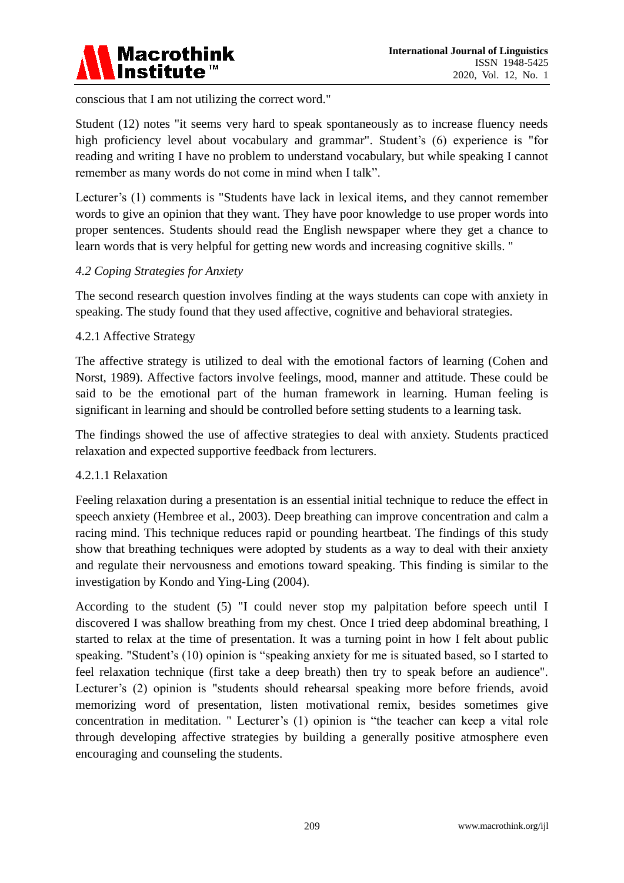

conscious that I am not utilizing the correct word."

Student (12) notes "it seems very hard to speak spontaneously as to increase fluency needs high proficiency level about vocabulary and grammar". Student's (6) experience is "for reading and writing I have no problem to understand vocabulary, but while speaking I cannot remember as many words do not come in mind when I talk".

Lecturer's (1) comments is "Students have lack in lexical items, and they cannot remember words to give an opinion that they want. They have poor knowledge to use proper words into proper sentences. Students should read the English newspaper where they get a chance to learn words that is very helpful for getting new words and increasing cognitive skills. "

#### *4.2 Coping Strategies for Anxiety*

The second research question involves finding at the ways students can cope with anxiety in speaking. The study found that they used affective, cognitive and behavioral strategies.

#### 4.2.1 Affective Strategy

The affective strategy is utilized to deal with the emotional factors of learning (Cohen and Norst, 1989). Affective factors involve feelings, mood, manner and attitude. These could be said to be the emotional part of the human framework in learning. Human feeling is significant in learning and should be controlled before setting students to a learning task.

The findings showed the use of affective strategies to deal with anxiety. Students practiced relaxation and expected supportive feedback from lecturers.

#### 4.2.1.1 Relaxation

Feeling relaxation during a presentation is an essential initial technique to reduce the effect in speech anxiety (Hembree et al., 2003). Deep breathing can improve concentration and calm a racing mind. This technique reduces rapid or pounding heartbeat. The findings of this study show that breathing techniques were adopted by students as a way to deal with their anxiety and regulate their nervousness and emotions toward speaking. This finding is similar to the investigation by Kondo and Ying-Ling (2004).

According to the student (5) "I could never stop my palpitation before speech until I discovered I was shallow breathing from my chest. Once I tried deep abdominal breathing, I started to relax at the time of presentation. It was a turning point in how I felt about public speaking. "Student's (10) opinion is "speaking anxiety for me is situated based, so I started to feel relaxation technique (first take a deep breath) then try to speak before an audience". Lecturer's (2) opinion is "students should rehearsal speaking more before friends, avoid memorizing word of presentation, listen motivational remix, besides sometimes give concentration in meditation. " Lecturer's (1) opinion is "the teacher can keep a vital role through developing affective strategies by building a generally positive atmosphere even encouraging and counseling the students.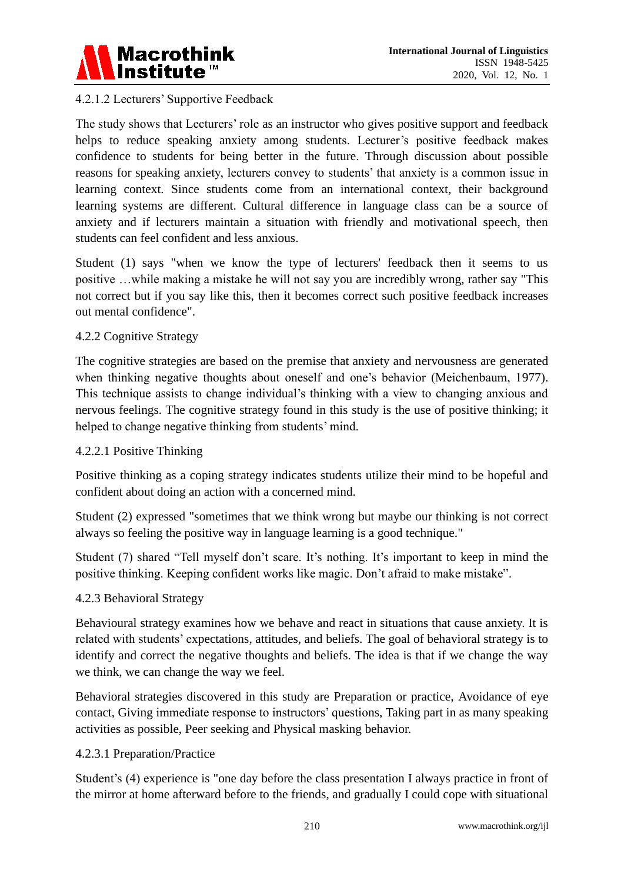

# 4.2.1.2 Lecturers' Supportive Feedback

The study shows that Lecturers' role as an instructor who gives positive support and feedback helps to reduce speaking anxiety among students. Lecturer's positive feedback makes confidence to students for being better in the future. Through discussion about possible reasons for speaking anxiety, lecturers convey to students' that anxiety is a common issue in learning context. Since students come from an international context, their background learning systems are different. Cultural difference in language class can be a source of anxiety and if lecturers maintain a situation with friendly and motivational speech, then students can feel confident and less anxious.

Student (1) says "when we know the type of lecturers' feedback then it seems to us positive …while making a mistake he will not say you are incredibly wrong, rather say "This not correct but if you say like this, then it becomes correct such positive feedback increases out mental confidence".

#### 4.2.2 Cognitive Strategy

The cognitive strategies are based on the premise that anxiety and nervousness are generated when thinking negative thoughts about oneself and one's behavior (Meichenbaum, 1977). This technique assists to change individual's thinking with a view to changing anxious and nervous feelings. The cognitive strategy found in this study is the use of positive thinking; it helped to change negative thinking from students' mind.

# 4.2.2.1 Positive Thinking

Positive thinking as a coping strategy indicates students utilize their mind to be hopeful and confident about doing an action with a concerned mind.

Student (2) expressed "sometimes that we think wrong but maybe our thinking is not correct always so feeling the positive way in language learning is a good technique."

Student (7) shared "Tell myself don't scare. It's nothing. It's important to keep in mind the positive thinking. Keeping confident works like magic. Don't afraid to make mistake".

#### 4.2.3 Behavioral Strategy

Behavioural strategy examines how we behave and react in situations that cause anxiety. It is related with students' expectations, attitudes, and beliefs. The goal of behavioral strategy is to identify and correct the negative thoughts and beliefs. The idea is that if we change the way we think, we can change the way we feel.

Behavioral strategies discovered in this study are Preparation or practice, Avoidance of eye contact, Giving immediate response to instructors' questions, Taking part in as many speaking activities as possible, Peer seeking and Physical masking behavior.

#### 4.2.3.1 Preparation/Practice

Student's (4) experience is "one day before the class presentation I always practice in front of the mirror at home afterward before to the friends, and gradually I could cope with situational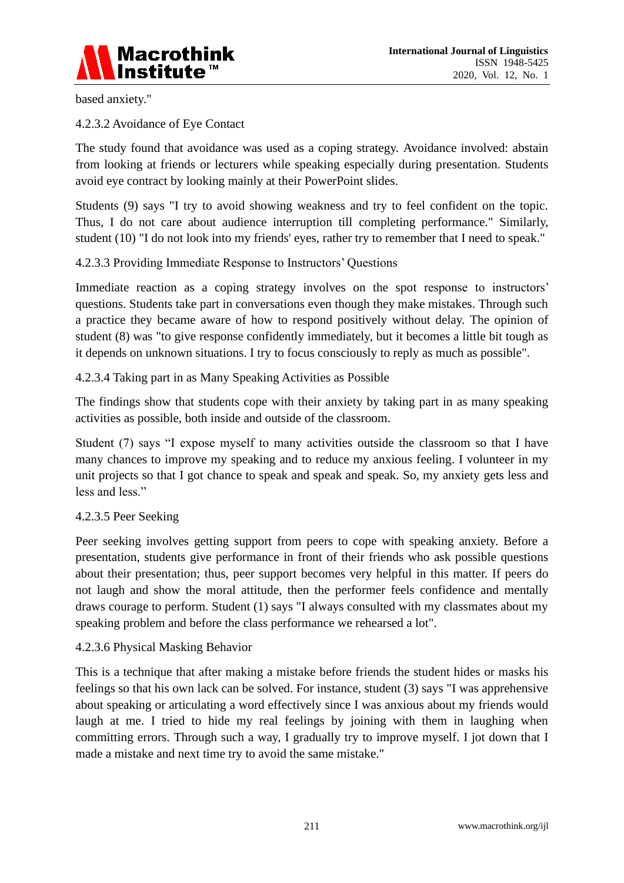

based anxiety."

4.2.3.2 Avoidance of Eye Contact

The study found that avoidance was used as a coping strategy. Avoidance involved: abstain from looking at friends or lecturers while speaking especially during presentation. Students avoid eye contract by looking mainly at their PowerPoint slides.

Students (9) says "I try to avoid showing weakness and try to feel confident on the topic. Thus, I do not care about audience interruption till completing performance." Similarly, student (10) "I do not look into my friends' eyes, rather try to remember that I need to speak."

# 4.2.3.3 Providing Immediate Response to Instructors' Questions

Immediate reaction as a coping strategy involves on the spot response to instructors' questions. Students take part in conversations even though they make mistakes. Through such a practice they became aware of how to respond positively without delay. The opinion of student (8) was "to give response confidently immediately, but it becomes a little bit tough as it depends on unknown situations. I try to focus consciously to reply as much as possible".

#### 4.2.3.4 Taking part in as Many Speaking Activities as Possible

The findings show that students cope with their anxiety by taking part in as many speaking activities as possible, both inside and outside of the classroom.

Student (7) says "I expose myself to many activities outside the classroom so that I have many chances to improve my speaking and to reduce my anxious feeling. I volunteer in my unit projects so that I got chance to speak and speak and speak. So, my anxiety gets less and less and less."

#### 4.2.3.5 Peer Seeking

Peer seeking involves getting support from peers to cope with speaking anxiety. Before a presentation, students give performance in front of their friends who ask possible questions about their presentation; thus, peer support becomes very helpful in this matter. If peers do not laugh and show the moral attitude, then the performer feels confidence and mentally draws courage to perform. Student (1) says "I always consulted with my classmates about my speaking problem and before the class performance we rehearsed a lot".

#### 4.2.3.6 Physical Masking Behavior

This is a technique that after making a mistake before friends the student hides or masks his feelings so that his own lack can be solved. For instance, student (3) says "I was apprehensive about speaking or articulating a word effectively since I was anxious about my friends would laugh at me. I tried to hide my real feelings by joining with them in laughing when committing errors. Through such a way, I gradually try to improve myself. I jot down that I made a mistake and next time try to avoid the same mistake."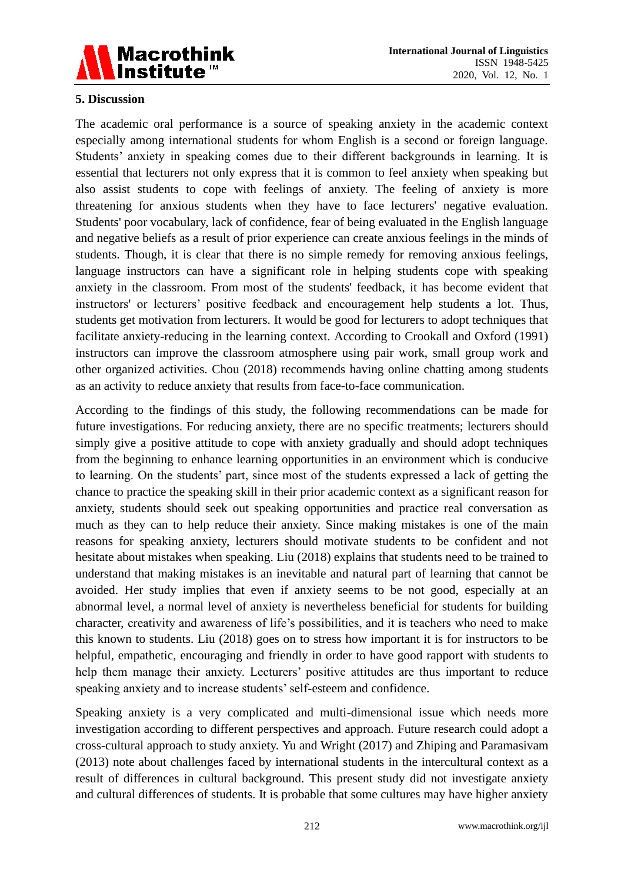

# **5. Discussion**

The academic oral performance is a source of speaking anxiety in the academic context especially among international students for whom English is a second or foreign language. Students' anxiety in speaking comes due to their different backgrounds in learning. It is essential that lecturers not only express that it is common to feel anxiety when speaking but also assist students to cope with feelings of anxiety. The feeling of anxiety is more threatening for anxious students when they have to face lecturers' negative evaluation. Students' poor vocabulary, lack of confidence, fear of being evaluated in the English language and negative beliefs as a result of prior experience can create anxious feelings in the minds of students. Though, it is clear that there is no simple remedy for removing anxious feelings, language instructors can have a significant role in helping students cope with speaking anxiety in the classroom. From most of the students' feedback, it has become evident that instructors' or lecturers' positive feedback and encouragement help students a lot. Thus, students get motivation from lecturers. It would be good for lecturers to adopt techniques that facilitate anxiety-reducing in the learning context. According to Crookall and Oxford (1991) instructors can improve the classroom atmosphere using pair work, small group work and other organized activities. Chou (2018) recommends having online chatting among students as an activity to reduce anxiety that results from face-to-face communication.

According to the findings of this study, the following recommendations can be made for future investigations. For reducing anxiety, there are no specific treatments; lecturers should simply give a positive attitude to cope with anxiety gradually and should adopt techniques from the beginning to enhance learning opportunities in an environment which is conducive to learning. On the students' part, since most of the students expressed a lack of getting the chance to practice the speaking skill in their prior academic context as a significant reason for anxiety, students should seek out speaking opportunities and practice real conversation as much as they can to help reduce their anxiety. Since making mistakes is one of the main reasons for speaking anxiety, lecturers should motivate students to be confident and not hesitate about mistakes when speaking. Liu (2018) explains that students need to be trained to understand that making mistakes is an inevitable and natural part of learning that cannot be avoided. Her study implies that even if anxiety seems to be not good, especially at an abnormal level, a normal level of anxiety is nevertheless beneficial for students for building character, creativity and awareness of life's possibilities, and it is teachers who need to make this known to students. Liu (2018) goes on to stress how important it is for instructors to be helpful, empathetic, encouraging and friendly in order to have good rapport with students to help them manage their anxiety. Lecturers' positive attitudes are thus important to reduce speaking anxiety and to increase students' self-esteem and confidence.

Speaking anxiety is a very complicated and multi-dimensional issue which needs more investigation according to different perspectives and approach. Future research could adopt a cross-cultural approach to study anxiety. Yu and Wright (2017) and Zhiping and Paramasivam (2013) note about challenges faced by international students in the intercultural context as a result of differences in cultural background. This present study did not investigate anxiety and cultural differences of students. It is probable that some cultures may have higher anxiety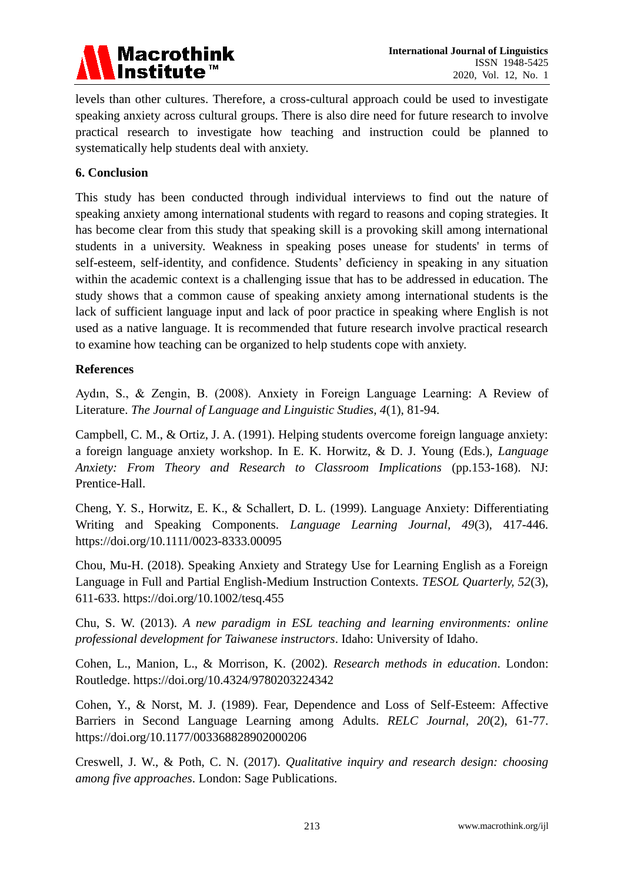

levels than other cultures. Therefore, a cross-cultural approach could be used to investigate speaking anxiety across cultural groups. There is also dire need for future research to involve practical research to investigate how teaching and instruction could be planned to systematically help students deal with anxiety.

# **6. Conclusion**

This study has been conducted through individual interviews to find out the nature of speaking anxiety among international students with regard to reasons and coping strategies. It has become clear from this study that speaking skill is a provoking skill among international students in a university. Weakness in speaking poses unease for students' in terms of self-esteem, self-identity, and confidence. Students' deficiency in speaking in any situation within the academic context is a challenging issue that has to be addressed in education. The study shows that a common cause of speaking anxiety among international students is the lack of sufficient language input and lack of poor practice in speaking where English is not used as a native language. It is recommended that future research involve practical research to examine how teaching can be organized to help students cope with anxiety.

#### **References**

Aydın, S., & Zengin, B. (2008). Anxiety in Foreign Language Learning: A Review of Literature. *The Journal of Language and Linguistic Studies, 4*(1), 81-94.

Campbell, C. M., & Ortiz, J. A. (1991). Helping students overcome foreign language anxiety: a foreign language anxiety workshop. In E. K. Horwitz, & D. J. Young (Eds.), *Language Anxiety: From Theory and Research to Classroom Implications* (pp.153-168). NJ: Prentice-Hall.

Cheng, Y. S., Horwitz, E. K., & Schallert, D. L. (1999). Language Anxiety: Differentiating Writing and Speaking Components. *Language Learning Journal, 49*(3), 417-446. https://doi.org/10.1111/0023-8333.00095

Chou, Mu-H. (2018). Speaking Anxiety and Strategy Use for Learning English as a Foreign Language in Full and Partial English-Medium Instruction Contexts. *TESOL Quarterly, 52*(3), 611-633. https://doi.org/10.1002/tesq.455

Chu, S. W. (2013). *A new paradigm in ESL teaching and learning environments: online professional development for Taiwanese instructors*. Idaho: University of Idaho.

Cohen, L., Manion, L., & Morrison, K. (2002). *Research methods in education*. London: Routledge. https://doi.org/10.4324/9780203224342

Cohen, Y., & Norst, M. J. (1989). Fear, Dependence and Loss of Self-Esteem: Affective Barriers in Second Language Learning among Adults. *RELC Journal, 20*(2), 61-77. https://doi.org/10.1177/003368828902000206

Creswell, J. W., & Poth, C. N. (2017). *Qualitative inquiry and research design: choosing among five approaches*. London: Sage Publications.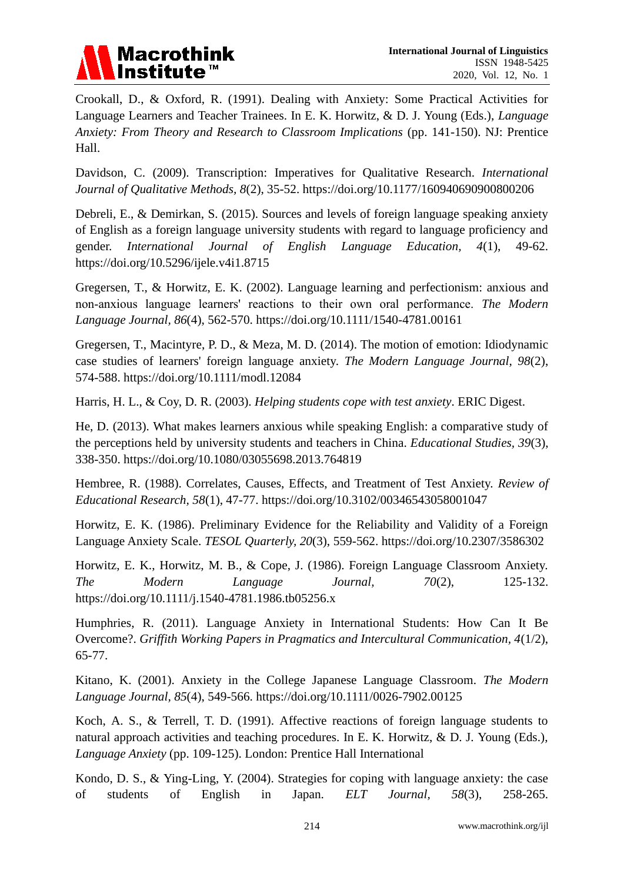

Crookall, D., & Oxford, R. (1991). Dealing with Anxiety: Some Practical Activities for Language Learners and Teacher Trainees. In E. K. Horwitz, & D. J. Young (Eds.), *Language Anxiety: From Theory and Research to Classroom Implications* (pp. 141-150). NJ: Prentice Hall.

Davidson, C. (2009). Transcription: Imperatives for Qualitative Research. *International Journal of Qualitative Methods, 8*(2), 35-52. https://doi.org/10.1177/160940690900800206

Debreli, E., & Demirkan, S. (2015). Sources and levels of foreign language speaking anxiety of English as a foreign language university students with regard to language proficiency and gender. *International Journal of English Language Education, 4*(1), 49-62. https://doi.org/10.5296/ijele.v4i1.8715

Gregersen, T., & Horwitz, E. K. (2002). Language learning and perfectionism: anxious and non‐anxious language learners' reactions to their own oral performance. *The Modern Language Journal, 86*(4), 562-570. https://doi.org/10.1111/1540-4781.00161

Gregersen, T., Macintyre, P. D., & Meza, M. D. (2014). The motion of emotion: Idiodynamic case studies of learners' foreign language anxiety. *The Modern Language Journal, 98*(2), 574-588. https://doi.org/10.1111/modl.12084

Harris, H. L., & Coy, D. R. (2003). *Helping students cope with test anxiety*. ERIC Digest.

He, D. (2013). What makes learners anxious while speaking English: a comparative study of the perceptions held by university students and teachers in China. *Educational Studies, 39*(3), 338-350. https://doi.org/10.1080/03055698.2013.764819

Hembree, R. (1988). Correlates, Causes, Effects, and Treatment of Test Anxiety. *Review of Educational Research, 58*(1), 47-77. https://doi.org/10.3102/00346543058001047

Horwitz, E. K. (1986). Preliminary Evidence for the Reliability and Validity of a Foreign Language Anxiety Scale. *TESOL Quarterly, 20*(3), 559-562. https://doi.org/10.2307/3586302

Horwitz, E. K., Horwitz, M. B., & Cope, J. (1986). Foreign Language Classroom Anxiety. *The Modern Language Journal, 70*(2), 125-132. https://doi.org/10.1111/j.1540-4781.1986.tb05256.x

Humphries, R. (2011). Language Anxiety in International Students: How Can It Be Overcome?. *Griffith Working Papers in Pragmatics and Intercultural Communication, 4*(1/2), 65-77.

Kitano, K. (2001). Anxiety in the College Japanese Language Classroom. *The Modern Language Journal, 85*(4), 549-566. https://doi.org/10.1111/0026-7902.00125

Koch, A. S., & Terrell, T. D. (1991). Affective reactions of foreign language students to natural approach activities and teaching procedures. In E. K. Horwitz, & D. J. Young (Eds.), *Language Anxiety* (pp. 109-125). London: Prentice Hall International

Kondo, D. S., & Ying-Ling, Y. (2004). Strategies for coping with language anxiety: the case of students of English in Japan. *ELT Journal, 58*(3), 258-265.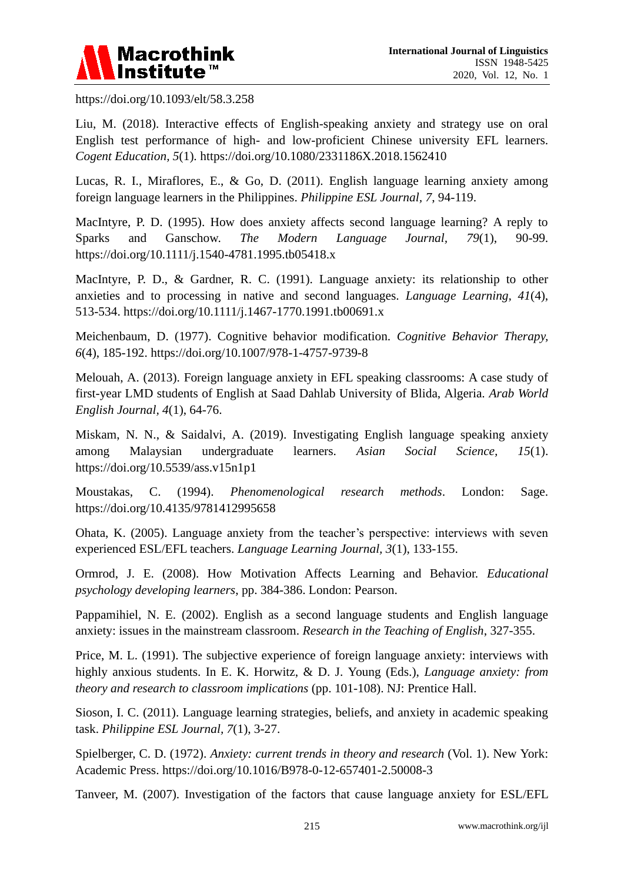

https://doi.org/10.1093/elt/58.3.258

Liu, M. (2018). Interactive effects of English-speaking anxiety and strategy use on oral English test performance of high- and low-proficient Chinese university EFL learners. *Cogent Education, 5*(1). https://doi.org/10.1080/2331186X.2018.1562410

Lucas, R. I., Miraflores, E., & Go, D. (2011). English language learning anxiety among foreign language learners in the Philippines. *Philippine ESL Journal, 7*, 94-119.

MacIntyre, P. D. (1995). How does anxiety affects second language learning? A reply to Sparks and Ganschow. *The Modern Language Journal, 79*(1), 90-99. https://doi.org/10.1111/j.1540-4781.1995.tb05418.x

MacIntyre, P. D., & Gardner, R. C. (1991). Language anxiety: its relationship to other anxieties and to processing in native and second languages. *Language Learning, 41*(4), 513-534. https://doi.org/10.1111/j.1467-1770.1991.tb00691.x

Meichenbaum, D. (1977). Cognitive behavior modification. *Cognitive Behavior Therapy, 6*(4), 185-192. https://doi.org/10.1007/978-1-4757-9739-8

Melouah, A. (2013). Foreign language anxiety in EFL speaking classrooms: A case study of first-year LMD students of English at Saad Dahlab University of Blida, Algeria. *Arab World English Journal, 4*(1), 64-76.

Miskam, N. N., & Saidalvi, A. (2019). Investigating English language speaking anxiety among Malaysian undergraduate learners. *Asian Social Science, 15*(1). https://doi.org/10.5539/ass.v15n1p1

Moustakas, C. (1994). *Phenomenological research methods*. London: Sage. https://doi.org/10.4135/9781412995658

Ohata, K. (2005). Language anxiety from the teacher's perspective: interviews with seven experienced ESL/EFL teachers. *Language Learning Journal, 3*(1), 133-155.

Ormrod, J. E. (2008). How Motivation Affects Learning and Behavior. *Educational psychology developing learners*, pp. 384-386. London: Pearson.

Pappamihiel, N. E. (2002). English as a second language students and English language anxiety: issues in the mainstream classroom. *Research in the Teaching of English*, 327-355.

Price, M. L. (1991). The subjective experience of foreign language anxiety: interviews with highly anxious students. In E. K. Horwitz, & D. J. Young (Eds.), *Language anxiety: from theory and research to classroom implications* (pp. 101-108). NJ: Prentice Hall.

Sioson, I. C. (2011). Language learning strategies, beliefs, and anxiety in academic speaking task. *Philippine ESL Journal, 7*(1), 3-27.

Spielberger, C. D. (1972). *Anxiety: current trends in theory and research* (Vol. 1). New York: Academic Press. https://doi.org/10.1016/B978-0-12-657401-2.50008-3

Tanveer, M. (2007). Investigation of the factors that cause language anxiety for ESL/EFL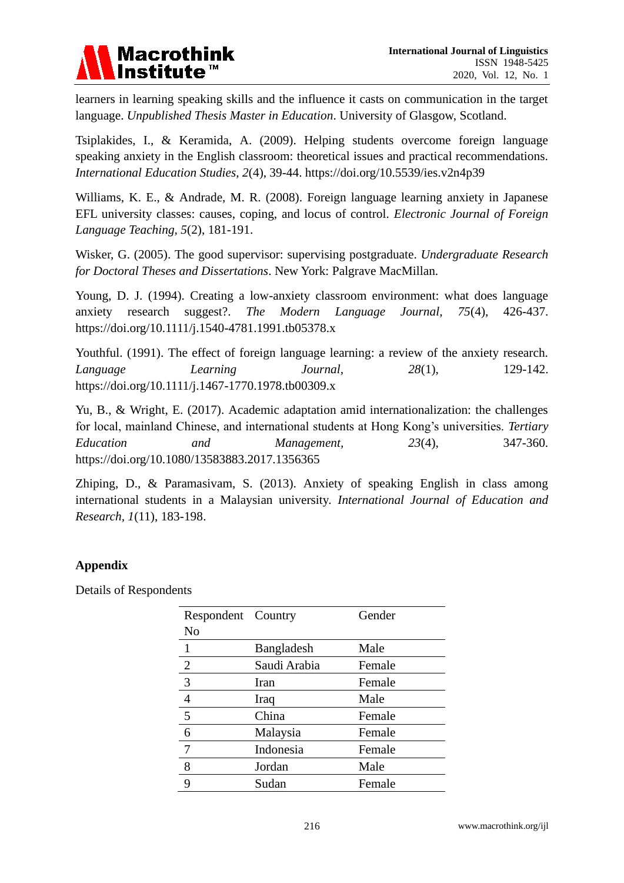

learners in learning speaking skills and the influence it casts on communication in the target language. *Unpublished Thesis Master in Education*. University of Glasgow, Scotland.

Tsiplakides, I., & Keramida, A. (2009). Helping students overcome foreign language speaking anxiety in the English classroom: theoretical issues and practical recommendations. *International Education Studies, 2*(4), 39-44. https://doi.org/10.5539/ies.v2n4p39

Williams, K. E., & Andrade, M. R. (2008). Foreign language learning anxiety in Japanese EFL university classes: causes, coping, and locus of control. *Electronic Journal of Foreign Language Teaching, 5*(2), 181-191.

Wisker, G. (2005). The good supervisor: supervising postgraduate. *Undergraduate Research for Doctoral Theses and Dissertations*. New York: Palgrave MacMillan.

Young, D. J. (1994). Creating a low-anxiety classroom environment: what does language anxiety research suggest?. *The Modern Language Journal, 75*(4), 426-437. https://doi.org/10.1111/j.1540-4781.1991.tb05378.x

Youthful. (1991). The effect of foreign language learning: a review of the anxiety research. *Language Learning Journal, 28*(1), 129-142. https://doi.org/10.1111/j.1467-1770.1978.tb00309.x

Yu, B., & Wright, E. (2017). Academic adaptation amid internationalization: the challenges for local, mainland Chinese, and international students at Hong Kong's universities. *Tertiary Education and Management, 23*(4), 347-360. https://doi.org/10.1080/13583883.2017.1356365

Zhiping, D., & Paramasivam, S. (2013). Anxiety of speaking English in class among international students in a Malaysian university. *International Journal of Education and Research, 1*(11), 183-198.

# **Appendix**

Details of Respondents

| Respondent Country |                   | Gender |
|--------------------|-------------------|--------|
| N <sub>0</sub>     |                   |        |
| $\mathbf{1}$       | <b>Bangladesh</b> | Male   |
| $\overline{2}$     | Saudi Arabia      | Female |
| $\overline{3}$     | Iran              | Female |
| $\overline{4}$     | Iraq              | Male   |
| 5                  | China             | Female |
| 6                  | Malaysia          | Female |
|                    | Indonesia         | Female |
| 8                  | Jordan            | Male   |
| 9                  | Sudan             | Female |
|                    |                   |        |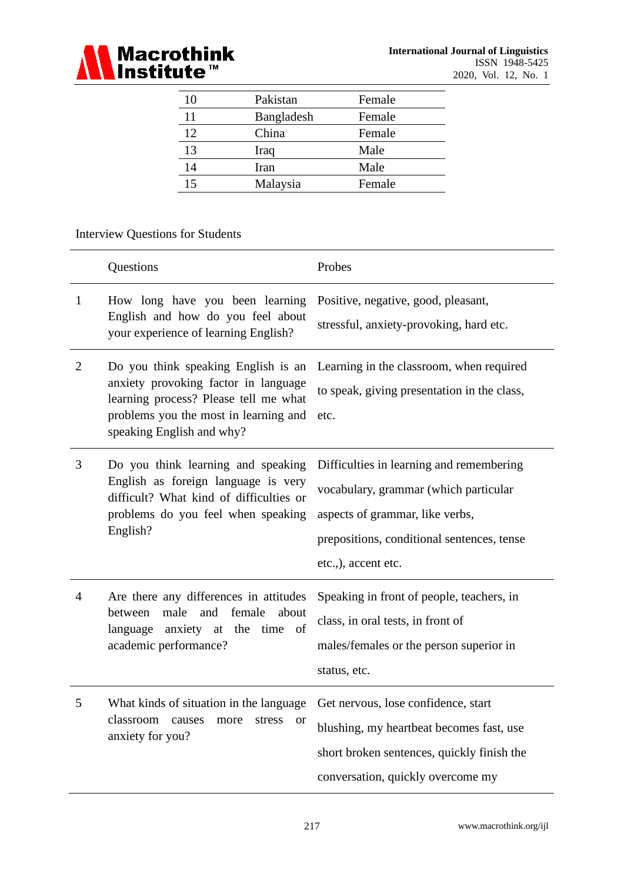

| 10 | Pakistan   | Female |
|----|------------|--------|
| 11 | Bangladesh | Female |
| 12 | China      | Female |
| 13 | Iraq       | Male   |
| 14 | Iran       | Male   |
| 15 | Malaysia   | Female |

# Interview Questions for Students

|                | Questions                                                                                                                                                                                  | Probes                                                                                                                                                                                    |
|----------------|--------------------------------------------------------------------------------------------------------------------------------------------------------------------------------------------|-------------------------------------------------------------------------------------------------------------------------------------------------------------------------------------------|
| $\mathbf{1}$   | How long have you been learning<br>English and how do you feel about<br>your experience of learning English?                                                                               | Positive, negative, good, pleasant,<br>stressful, anxiety-provoking, hard etc.                                                                                                            |
| $\overline{2}$ | Do you think speaking English is an<br>anxiety provoking factor in language<br>learning process? Please tell me what<br>problems you the most in learning and<br>speaking English and why? | Learning in the classroom, when required<br>to speak, giving presentation in the class,<br>etc.                                                                                           |
| 3              | Do you think learning and speaking<br>English as foreign language is very<br>difficult? What kind of difficulties or<br>problems do you feel when speaking<br>English?                     | Difficulties in learning and remembering<br>vocabulary, grammar (which particular<br>aspects of grammar, like verbs,<br>prepositions, conditional sentences, tense<br>etc.,), accent etc. |
| $\overline{4}$ | Are there any differences in attitudes<br>male<br>and<br>female<br>between<br>about<br>language anxiety at the time of<br>academic performance?                                            | Speaking in front of people, teachers, in<br>class, in oral tests, in front of<br>males/females or the person superior in<br>status, etc.                                                 |
| 5              | What kinds of situation in the language<br>classroom<br>causes<br>more<br>stress<br><b>or</b><br>anxiety for you?                                                                          | Get nervous, lose confidence, start<br>blushing, my heartbeat becomes fast, use<br>short broken sentences, quickly finish the<br>conversation, quickly overcome my                        |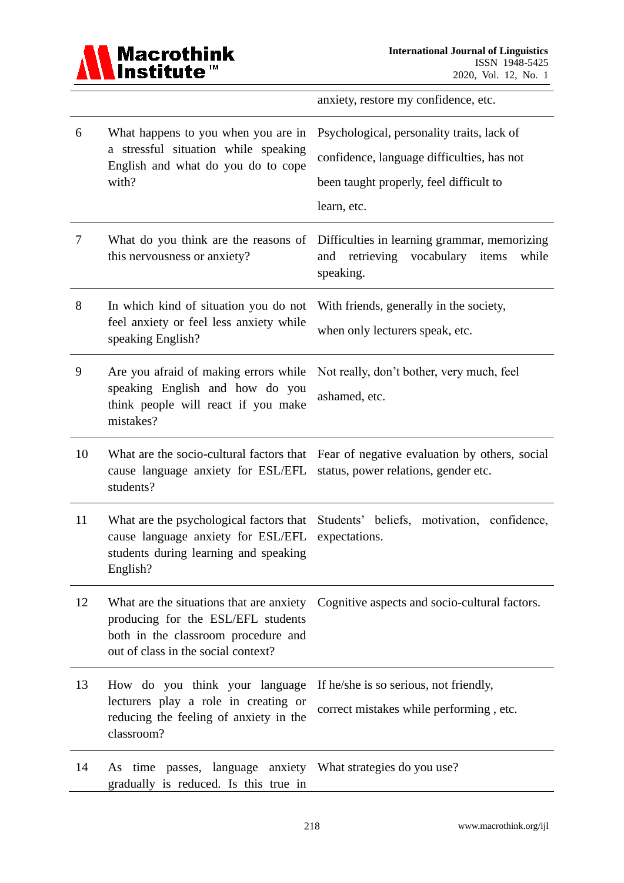

anxiety, restore my confidence, etc.

| 6  | What happens to you when you are in<br>a stressful situation while speaking<br>English and what do you do to cope<br>with?         | Psychological, personality traits, lack of<br>confidence, language difficulties, has not<br>been taught properly, feel difficult to<br>learn, etc. |
|----|------------------------------------------------------------------------------------------------------------------------------------|----------------------------------------------------------------------------------------------------------------------------------------------------|
| 7  | What do you think are the reasons of<br>this nervousness or anxiety?                                                               | Difficulties in learning grammar, memorizing<br>retrieving<br>vocabulary<br>items<br>and<br>while<br>speaking.                                     |
| 8  | In which kind of situation you do not<br>feel anxiety or feel less anxiety while<br>speaking English?                              | With friends, generally in the society,<br>when only lecturers speak, etc.                                                                         |
| 9  | Are you afraid of making errors while<br>speaking English and how do you<br>think people will react if you make<br>mistakes?       | Not really, don't bother, very much, feel<br>ashamed, etc.                                                                                         |
| 10 | What are the socio-cultural factors that<br>cause language anxiety for ESL/EFL<br>students?                                        | Fear of negative evaluation by others, social<br>status, power relations, gender etc.                                                              |
| 11 | What are the psychological factors that<br>cause language anxiety for ESL/EFL<br>students during learning and speaking<br>English? | Students' beliefs, motivation, confidence,<br>expectations.                                                                                        |
| 12 | producing for the ESL/EFL students<br>both in the classroom procedure and<br>out of class in the social context?                   | What are the situations that are anxiety Cognitive aspects and socio-cultural factors.                                                             |
| 13 | How do you think your language<br>lecturers play a role in creating or<br>reducing the feeling of anxiety in the<br>classroom?     | If he/she is so serious, not friendly,<br>correct mistakes while performing, etc.                                                                  |
| 14 | passes, language anxiety What strategies do you use?<br>As time<br>gradually is reduced. Is this true in                           |                                                                                                                                                    |